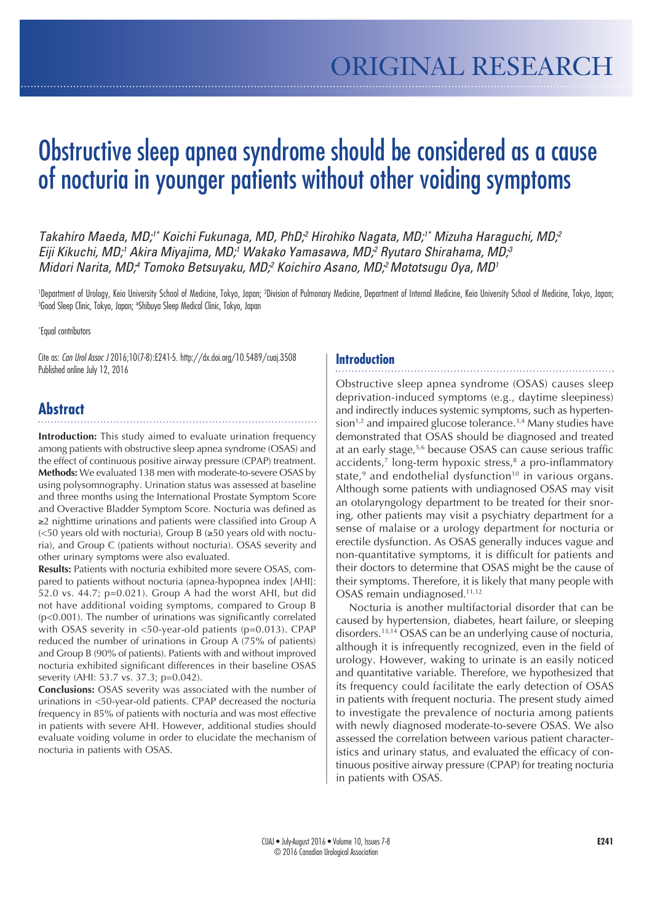# Obstructive sleep apnea syndrome should be considered as a cause of nocturia in younger patients without other voiding symptoms

*Takahiro Maeda, MD;1\* Koichi Fukunaga, MD, PhD;2 Hirohiko Nagata, MD;1\* Mizuha Haraguchi, MD;2 Eiji Kikuchi, MD;1 Akira Miyajima, MD;1 Wakako Yamasawa, MD;2 Ryutaro Shirahama, MD;3 Midori Narita, MD;4 Tomoko Betsuyaku, MD;2 Koichiro Asano, MD;2 Mototsugu Oya, MD1* 

'Department of Urology, Keio University School of Medicine, Tokyo, Japan; 2Division of Pulmonary Medicine, Department of Internal Medicine, Keio University School of Medicine, Tokyo, Japan;<br>3Good Sleen Clinic Tokyo, Japan: Good Sleep Clinic, Tokyo, Japan; 4 Shibuya Sleep Medical Clinic, Tokyo, Japan

\* Equal contributors

Cite as: *Can Urol Assoc J* 2016;10(7-8):E241-5. http://dx.doi.org/10.5489/cuaj.3508 Published online July 12, 2016

# **Abstract**

**Introduction:** This study aimed to evaluate urination frequency among patients with obstructive sleep apnea syndrome (OSAS) and the effect of continuous positive airway pressure (CPAP) treatment. **Methods:** We evaluated 138 men with moderate-to-severe OSAS by using polysomnography. Urination status was assessed at baseline and three months using the International Prostate Symptom Score and Overactive Bladder Symptom Score. Nocturia was defined as ≥2 nighttime urinations and patients were classified into Group A (<50 years old with nocturia), Group B (≥50 years old with nocturia), and Group C (patients without nocturia). OSAS severity and other urinary symptoms were also evaluated.

**Results:** Patients with nocturia exhibited more severe OSAS, compared to patients without nocturia (apnea-hypopnea index [AHI]: 52.0 vs. 44.7; p=0.021). Group A had the worst AHI, but did not have additional voiding symptoms, compared to Group B (p<0.001). The number of urinations was significantly correlated with OSAS severity in <50-year-old patients (p=0.013). CPAP reduced the number of urinations in Group A (75% of patients) and Group B (90% of patients). Patients with and without improved nocturia exhibited significant differences in their baseline OSAS severity (AHI: 53.7 vs. 37.3; p=0.042).

**Conclusions:** OSAS severity was associated with the number of urinations in <50-year-old patients. CPAP decreased the nocturia frequency in 85% of patients with nocturia and was most effective in patients with severe AHI. However, additional studies should evaluate voiding volume in order to elucidate the mechanism of nocturia in patients with OSAS.

#### **Introduction**

Obstructive sleep apnea syndrome (OSAS) causes sleep deprivation-induced symptoms (e.g., daytime sleepiness) and indirectly induces systemic symptoms, such as hyperten $sion<sup>1,2</sup>$  and impaired glucose tolerance.<sup>3,4</sup> Many studies have demonstrated that OSAS should be diagnosed and treated at an early stage,<sup>5,6</sup> because OSAS can cause serious traffic accidents,<sup>7</sup> long-term hypoxic stress,<sup>8</sup> a pro-inflammatory state, $9$  and endothelial dysfunction<sup>10</sup> in various organs. Although some patients with undiagnosed OSAS may visit an otolaryngology department to be treated for their snoring, other patients may visit a psychiatry department for a sense of malaise or a urology department for nocturia or erectile dysfunction. As OSAS generally induces vague and non-quantitative symptoms, it is difficult for patients and their doctors to determine that OSAS might be the cause of their symptoms. Therefore, it is likely that many people with OSAS remain undiagnosed.<sup>11,12</sup>

Nocturia is another multifactorial disorder that can be caused by hypertension, diabetes, heart failure, or sleeping disorders.13,14 OSAS can be an underlying cause of nocturia, although it is infrequently recognized, even in the field of urology. However, waking to urinate is an easily noticed and quantitative variable. Therefore, we hypothesized that its frequency could facilitate the early detection of OSAS in patients with frequent nocturia. The present study aimed to investigate the prevalence of nocturia among patients with newly diagnosed moderate-to-severe OSAS. We also assessed the correlation between various patient characteristics and urinary status, and evaluated the efficacy of continuous positive airway pressure (CPAP) for treating nocturia in patients with OSAS.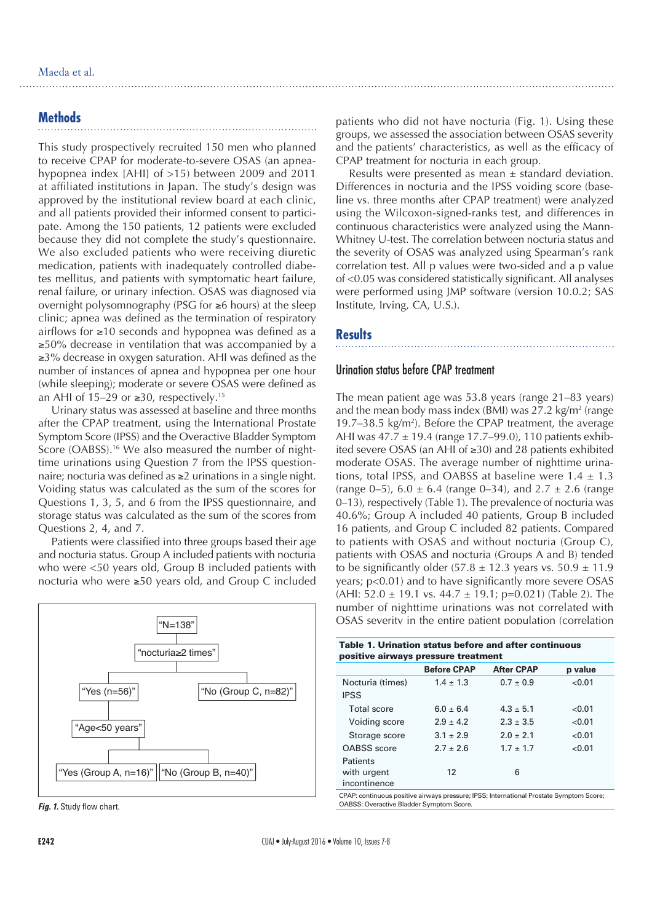## **Methods**

This study prospectively recruited 150 men who planned to receive CPAP for moderate-to-severe OSAS (an apneahypopnea index [AHI] of >15) between 2009 and 2011 at affiliated institutions in Japan. The study's design was approved by the institutional review board at each clinic, and all patients provided their informed consent to participate. Among the 150 patients, 12 patients were excluded because they did not complete the study's questionnaire. We also excluded patients who were receiving diuretic medication, patients with inadequately controlled diabetes mellitus, and patients with symptomatic heart failure, renal failure, or urinary infection. OSAS was diagnosed via overnight polysomnography (PSG for ≥6 hours) at the sleep clinic; apnea was defined as the termination of respiratory airflows for ≥10 seconds and hypopnea was defined as a ≥50% decrease in ventilation that was accompanied by a ≥3% decrease in oxygen saturation. AHI was defined as the number of instances of apnea and hypopnea per one hour (while sleeping); moderate or severe OSAS were defined as an AHI of 15–29 or ≥30, respectively.<sup>15</sup>

Urinary status was assessed at baseline and three months after the CPAP treatment, using the International Prostate Symptom Score (IPSS) and the Overactive Bladder Symptom Score (OABSS).<sup>16</sup> We also measured the number of nighttime urinations using Question 7 from the IPSS questionnaire; nocturia was defined as ≥2 urinations in a single night. Voiding status was calculated as the sum of the scores for Questions 1, 3, 5, and 6 from the IPSS questionnaire, and storage status was calculated as the sum of the scores from Questions 2, 4, and 7.

Patients were classified into three groups based their age and nocturia status. Group A included patients with nocturia who were <50 years old, Group B included patients with nocturia who were ≥50 years old, and Group C included





patients who did not have nocturia (Fig. 1). Using these groups, we assessed the association between OSAS severity and the patients' characteristics, as well as the efficacy of CPAP treatment for nocturia in each group.

Results were presented as mean  $\pm$  standard deviation. Differences in nocturia and the IPSS voiding score (baseline vs. three months after CPAP treatment) were analyzed using the Wilcoxon-signed-ranks test, and differences in continuous characteristics were analyzed using the Mann-Whitney U-test. The correlation between nocturia status and the severity of OSAS was analyzed using Spearman's rank correlation test. All p values were two-sided and a p value of <0.05 was considered statistically significant. All analyses were performed using JMP software (version 10.0.2; SAS Institute, Irving, CA, U.S.).

## **Results**

## Urination status before CPAP treatment

The mean patient age was 53.8 years (range 21–83 years) and the mean body mass index (BMI) was 27.2 kg/m<sup>2</sup> (range 19.7 $-38.5 \text{ kg/m}^2$ ). Before the CPAP treatment, the average AHI was 47.7 ± 19.4 (range 17.7–99.0), 110 patients exhibited severe OSAS (an AHI of ≥30) and 28 patients exhibited moderate OSAS. The average number of nighttime urinations, total IPSS, and OABSS at baseline were  $1.4 \pm 1.3$ (range 0–5),  $6.0 \pm 6.4$  (range 0–34), and  $2.7 \pm 2.6$  (range 0–13), respectively (Table 1). The prevalence of nocturia was 40.6%; Group A included 40 patients, Group B included 16 patients, and Group C included 82 patients. Compared to patients with OSAS and without nocturia (Group C), patients with OSAS and nocturia (Groups A and B) tended to be significantly older  $(57.8 \pm 12.3)$  years vs.  $50.9 \pm 11.9$ years; p<0.01) and to have significantly more severe OSAS (AHI:  $52.0 \pm 19.1$  vs.  $44.7 \pm 19.1$ ; p=0.021) (Table 2). The number of nighttime urinations was not correlated with OSAS severity in the entire patient population (correlation

| Table 1. Urination status before and after continuous<br>positive airways pressure treatment |                    |                   |         |  |
|----------------------------------------------------------------------------------------------|--------------------|-------------------|---------|--|
|                                                                                              | <b>Before CPAP</b> | <b>After CPAP</b> | p value |  |
| Nocturia (times)                                                                             | $1.4 + 1.3$        | $0.7 \pm 0.9$     | < 0.01  |  |
| <b>IPSS</b>                                                                                  |                    |                   |         |  |
| Total score                                                                                  | $6.0 + 6.4$        | $4.3 + 5.1$       | < 0.01  |  |
| Voiding score                                                                                | $2.9 + 4.2$        | $2.3 \pm 3.5$     | < 0.01  |  |
| Storage score                                                                                | $3.1 \pm 2.9$      | $2.0 + 2.1$       | < 0.01  |  |
| OABSS score                                                                                  | $2.7 + 2.6$        | $1.7 + 1.7$       | < 0.01  |  |
| Patients                                                                                     |                    |                   |         |  |
| with urgent<br>incontinence                                                                  | 12                 | 6                 |         |  |

CPAP: continuous positive airways pressure; IPSS: International Prostate Symptom Score; OABSS: Overactive Bladder Symptom Score.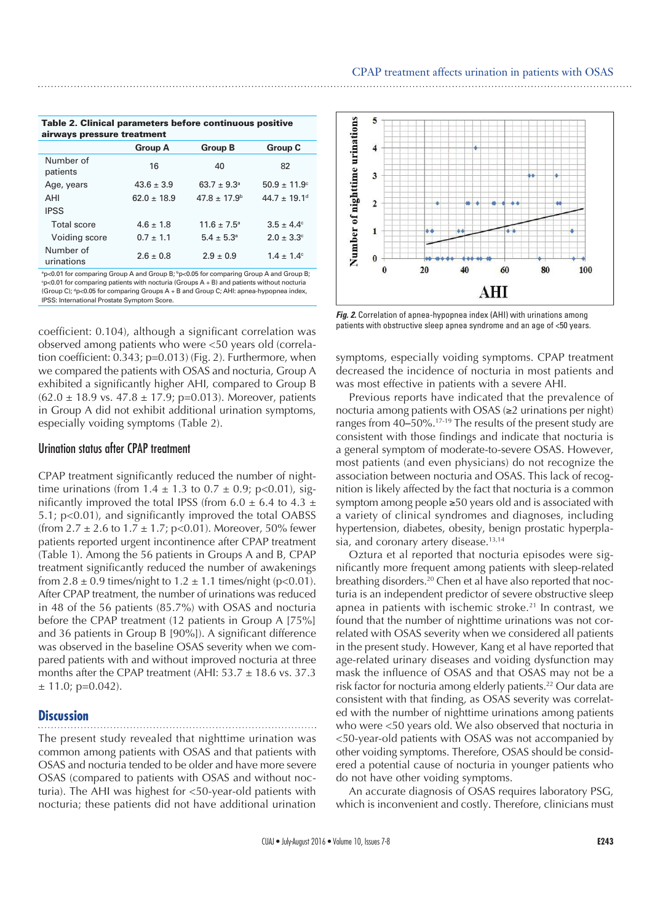Table 2. Clinical parameters before continuous positive airways pressure treatment **Group A Group B Group C**

|                         | <b>A</b> quo no | a quo id                | unun u                       |
|-------------------------|-----------------|-------------------------|------------------------------|
| Number of<br>patients   | 16              | 40                      | 82                           |
| Age, years              | $43.6 \pm 3.9$  | $63.7 \pm 9.3^{\circ}$  | $50.9 \pm 11.9^{\circ}$      |
| AHI                     | $62.0 \pm 18.9$ | $47.8 \pm 17.9^{\circ}$ | $44.7 \pm 19.1$ <sup>d</sup> |
| <b>IPSS</b>             |                 |                         |                              |
| <b>Total score</b>      | $4.6 \pm 1.8$   | $11.6 \pm 7.5^{\circ}$  | $3.5 \pm 4.4^{\circ}$        |
| Voiding score           | $0.7 \pm 1.1$   | $5.4 \pm 5.3^{\circ}$   | $2.0 \pm 3.3$ <sup>c</sup>   |
| Number of<br>urinations | $2.6 \pm 0.8$   | $2.9 \pm 0.9$           | $1.4 \pm 1.4^{\circ}$        |

 $^{\circ}$ p<0.01 for comparing Group A and Group B;  $^{\circ}$ p<0.05 for comparing Group A and Group B;  $ep<0.01$  for comparing patients with nocturia (Groups A  $+$  B) and patients without nocturia (Group C);  $q$  p<0.05 for comparing Groups A + B and Group C; AHI: apnea-hypopnea index, IPSS: International Prostate Symptom Score.

coefficient: 0.104), although a significant correlation was observed among patients who were <50 years old (correlation coefficient: 0.343; p=0.013) (Fig. 2). Furthermore, when we compared the patients with OSAS and nocturia, Group A exhibited a significantly higher AHI, compared to Group B  $(62.0 \pm 18.9 \text{ vs. } 47.8 \pm 17.9; \text{ p=0.013}).$  Moreover, patients in Group A did not exhibit additional urination symptoms, especially voiding symptoms (Table 2).

## Urination status after CPAP treatment

CPAP treatment significantly reduced the number of nighttime urinations (from  $1.4 \pm 1.3$  to  $0.7 \pm 0.9$ ; p<0.01), significantly improved the total IPSS (from  $6.0 \pm 6.4$  to  $4.3 \pm 1$ 5.1; p<0.01), and significantly improved the total OABSS (from  $2.7 \pm 2.6$  to  $1.7 \pm 1.7$ ; p<0.01). Moreover, 50% fewer patients reported urgent incontinence after CPAP treatment (Table 1). Among the 56 patients in Groups A and B, CPAP treatment significantly reduced the number of awakenings from  $2.8 \pm 0.9$  times/night to  $1.2 \pm 1.1$  times/night (p<0.01). After CPAP treatment, the number of urinations was reduced in 48 of the 56 patients (85.7%) with OSAS and nocturia before the CPAP treatment (12 patients in Group A [75%] and 36 patients in Group B [90%]). A significant difference was observed in the baseline OSAS severity when we compared patients with and without improved nocturia at three months after the CPAP treatment (AHI:  $53.7 \pm 18.6$  vs. 37.3  $± 11.0; p=0.042$ ).

#### **Discussion**

The present study revealed that nighttime urination was common among patients with OSAS and that patients with OSAS and nocturia tended to be older and have more severe OSAS (compared to patients with OSAS and without nocturia). The AHI was highest for <50-year-old patients with nocturia; these patients did not have additional urination



*Fig. 2.* Correlation of apnea-hypopnea index (AHI) with urinations among patients with obstructive sleep apnea syndrome and an age of <50 years.

symptoms, especially voiding symptoms. CPAP treatment decreased the incidence of nocturia in most patients and was most effective in patients with a severe AHI.

Previous reports have indicated that the prevalence of nocturia among patients with OSAS (≥2 urinations per night) ranges from 40*‒*50%.17-19 The results of the present study are consistent with those findings and indicate that nocturia is a general symptom of moderate-to-severe OSAS. However, most patients (and even physicians) do not recognize the association between nocturia and OSAS. This lack of recognition is likely affected by the fact that nocturia is a common symptom among people ≥50 years old and is associated with a variety of clinical syndromes and diagnoses, including hypertension, diabetes, obesity, benign prostatic hyperplasia, and coronary artery disease.<sup>13,14</sup>

Oztura et al reported that nocturia episodes were significantly more frequent among patients with sleep-related breathing disorders.20 Chen et al have also reported that nocturia is an independent predictor of severe obstructive sleep apnea in patients with ischemic stroke.21 In contrast, we found that the number of nighttime urinations was not correlated with OSAS severity when we considered all patients in the present study. However, Kang et al have reported that age-related urinary diseases and voiding dysfunction may mask the influence of OSAS and that OSAS may not be a risk factor for nocturia among elderly patients.<sup>22</sup> Our data are consistent with that finding, as OSAS severity was correlated with the number of nighttime urinations among patients who were <50 years old. We also observed that nocturia in <50-year-old patients with OSAS was not accompanied by other voiding symptoms. Therefore, OSAS should be considered a potential cause of nocturia in younger patients who do not have other voiding symptoms.

An accurate diagnosis of OSAS requires laboratory PSG, which is inconvenient and costly. Therefore, clinicians must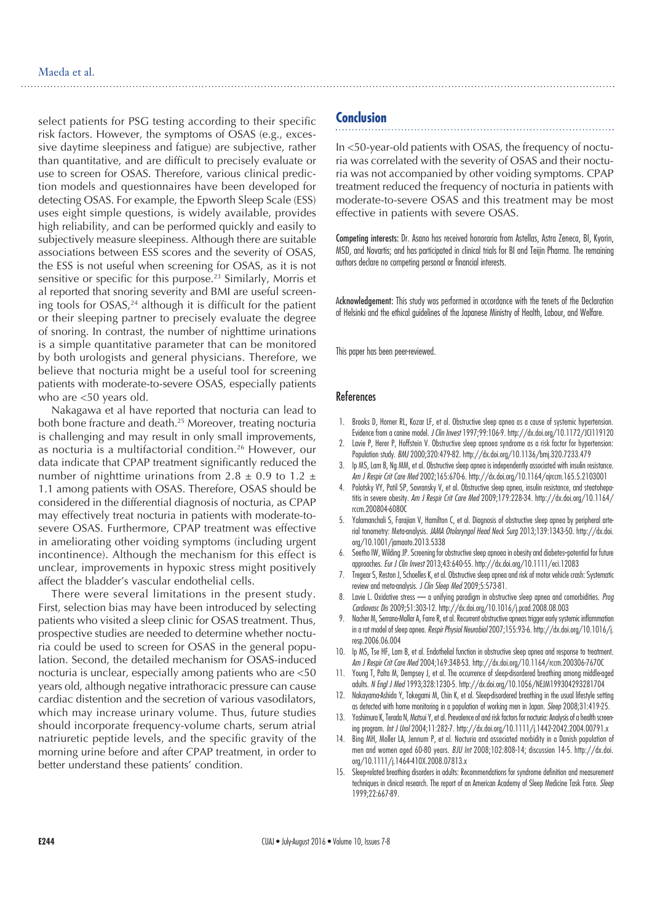select patients for PSG testing according to their specific risk factors. However, the symptoms of OSAS (e.g., excessive daytime sleepiness and fatigue) are subjective, rather than quantitative, and are difficult to precisely evaluate or use to screen for OSAS. Therefore, various clinical prediction models and questionnaires have been developed for detecting OSAS. For example, the Epworth Sleep Scale (ESS) uses eight simple questions, is widely available, provides high reliability, and can be performed quickly and easily to subjectively measure sleepiness. Although there are suitable associations between ESS scores and the severity of OSAS, the ESS is not useful when screening for OSAS, as it is not sensitive or specific for this purpose.<sup>23</sup> Similarly, Morris et al reported that snoring severity and BMI are useful screening tools for OSAS,<sup>24</sup> although it is difficult for the patient or their sleeping partner to precisely evaluate the degree of snoring. In contrast, the number of nighttime urinations is a simple quantitative parameter that can be monitored by both urologists and general physicians. Therefore, we believe that nocturia might be a useful tool for screening patients with moderate-to-severe OSAS, especially patients who are <50 years old.

Nakagawa et al have reported that nocturia can lead to both bone fracture and death.25 Moreover, treating nocturia is challenging and may result in only small improvements, as nocturia is a multifactorial condition.26 However, our data indicate that CPAP treatment significantly reduced the number of nighttime urinations from  $2.8 \pm 0.9$  to  $1.2 \pm 1.2$ 1.1 among patients with OSAS. Therefore, OSAS should be considered in the differential diagnosis of nocturia, as CPAP may effectively treat nocturia in patients with moderate-tosevere OSAS. Furthermore, CPAP treatment was effective in ameliorating other voiding symptoms (including urgent incontinence). Although the mechanism for this effect is unclear, improvements in hypoxic stress might positively affect the bladder's vascular endothelial cells.

There were several limitations in the present study. First, selection bias may have been introduced by selecting patients who visited a sleep clinic for OSAS treatment. Thus, prospective studies are needed to determine whether nocturia could be used to screen for OSAS in the general population. Second, the detailed mechanism for OSAS-induced nocturia is unclear, especially among patients who are <50 years old, although negative intrathoracic pressure can cause cardiac distention and the secretion of various vasodilators, which may increase urinary volume. Thus, future studies should incorporate frequency-volume charts, serum atrial natriuretic peptide levels, and the specific gravity of the morning urine before and after CPAP treatment, in order to better understand these patients' condition.

# **Conclusion**

In <50-year-old patients with OSAS, the frequency of nocturia was correlated with the severity of OSAS and their nocturia was not accompanied by other voiding symptoms. CPAP treatment reduced the frequency of nocturia in patients with moderate-to-severe OSAS and this treatment may be most effective in patients with severe OSAS.

Competing interests: Dr. Asano has received honoraria from Astellas, Astra Zeneca, BI, Kyorin, MSD, and Novartis; and has participated in clinical trials for BI and Teijin Pharma. The remaining authors declare no competing personal or financial interests.

Acknowledgement: This study was performed in accordance with the tenets of the Declaration of Helsinki and the ethical guidelines of the Japanese Ministry of Health, Labour, and Welfare.

This paper has been peer-reviewed.

#### References

- 1. Brooks D, Horner RL, Kozar LF, et al. Obstructive sleep apnea as a cause of systemic hypertension. Evidence from a canine model. *J Clin Invest* 1997;99:106-9. http://dx.doi.org/10.1172/JCI119120
- 2. Lavie P, Herer P, Hoffstein V. Obstructive sleep apnoea syndrome as a risk factor for hypertension: Population study. *BMJ* 2000;320:479-82. http://dx.doi.org/10.1136/bmj.320.7233.479
- 3. Ip MS, Lam B, Ng MM, et al. Obstructive sleep apnea is independently associated with insulin resistance. *Am J Respir Crit Care Med* 2002;165:670-6. http://dx.doi.org/10.1164/ajrccm.165.5.2103001
- 4. Polotsky VY, Patil SP, Savransky V, et al. Obstructive sleep apnea, insulin resistance, and steatohepatitis in severe obesity. *Am J Respir Crit Care Med* 2009;179:228-34. http://dx.doi.org/10.1164/ rccm.200804-608OC
- 5. Yalamanchali S, Farajian V, Hamilton C, et al. Diagnosis of obstructive sleep apnea by peripheral arterial tonometry: Meta-analysis. *JAMA Otolaryngol Head Neck Surg* 2013;139:1343-50. http://dx.doi. org/10.1001/jamaoto.2013.5338
- 6. Seetho IW, Wilding JP. Screening for obstructive sleep apnoea in obesity and diabetes--potential for future approaches. *Eur J Clin Invest* 2013;43:640-55. http://dx.doi.org/10.1111/eci.12083
- 7. Tregear S, Reston J, Schoelles K, et al. Obstructive sleep apnea and risk of motor vehicle crash: Systematic review and meta-analysis. *J Clin Sleep Med* 2009;5:573-81.
- 8. Lavie L. Oxidative stress a unifying paradigm in obstructive sleep apnea and comorbidities. *Prog Cardiovasc Dis* 2009;51:303-12. http://dx.doi.org/10.1016/j.pcad.2008.08.003
- 9. Nacher M, Serrano-Mollar A, Farre R, et al. Recurrent obstructive apneas trigger early systemic inflammation in a rat model of sleep apnea. *Respir Physiol Neurobiol* 2007;155:93-6. http://dx.doi.org/10.1016/j. resp.2006.06.004
- 10. Ip MS, Tse HF, Lam B, et al. Endothelial function in obstructive sleep apnea and response to treatment. *Am J Respir Crit Care Med* 2004;169:348-53. http://dx.doi.org/10.1164/rccm.200306-767OC
- 11. Young T, Palta M, Dempsey J, et al. The occurrence of sleep-disordered breathing among middle-aged adults. *N Engl J Med* 1993;328:1230-5. http://dx.doi.org/10.1056/NEJM199304293281704
- 12. Nakayama-Ashida Y, Takegami M, Chin K, et al. Sleep-disordered breathing in the usual lifestyle setting as detected with home monitoring in a population of working men in Japan. *Sleep* 2008;31:419-25.
- 13. Yoshimura K, Terada N, Matsui Y, et al. Prevalence of and risk factors for nocturia: Analysis of a health screening program. *Int J Urol* 2004;11:282-7. http://dx.doi.org/10.1111/j.1442-2042.2004.00791.x
- 14. Bing MH, Moller LA, Jennum P, et al. Nocturia and associated morbidity in a Danish population of men and women aged 60-80 years. *BJU Int* 2008;102:808-14; discussion 14-5. http://dx.doi. org/10.1111/j.1464-410X.2008.07813.x
- 15. Sleep-related breathing disorders in adults: Recommendations for syndrome definition and measurement techniques in clinical research. The report of an American Academy of Sleep Medicine Task Force. *Sleep* 1999;22:667-89.